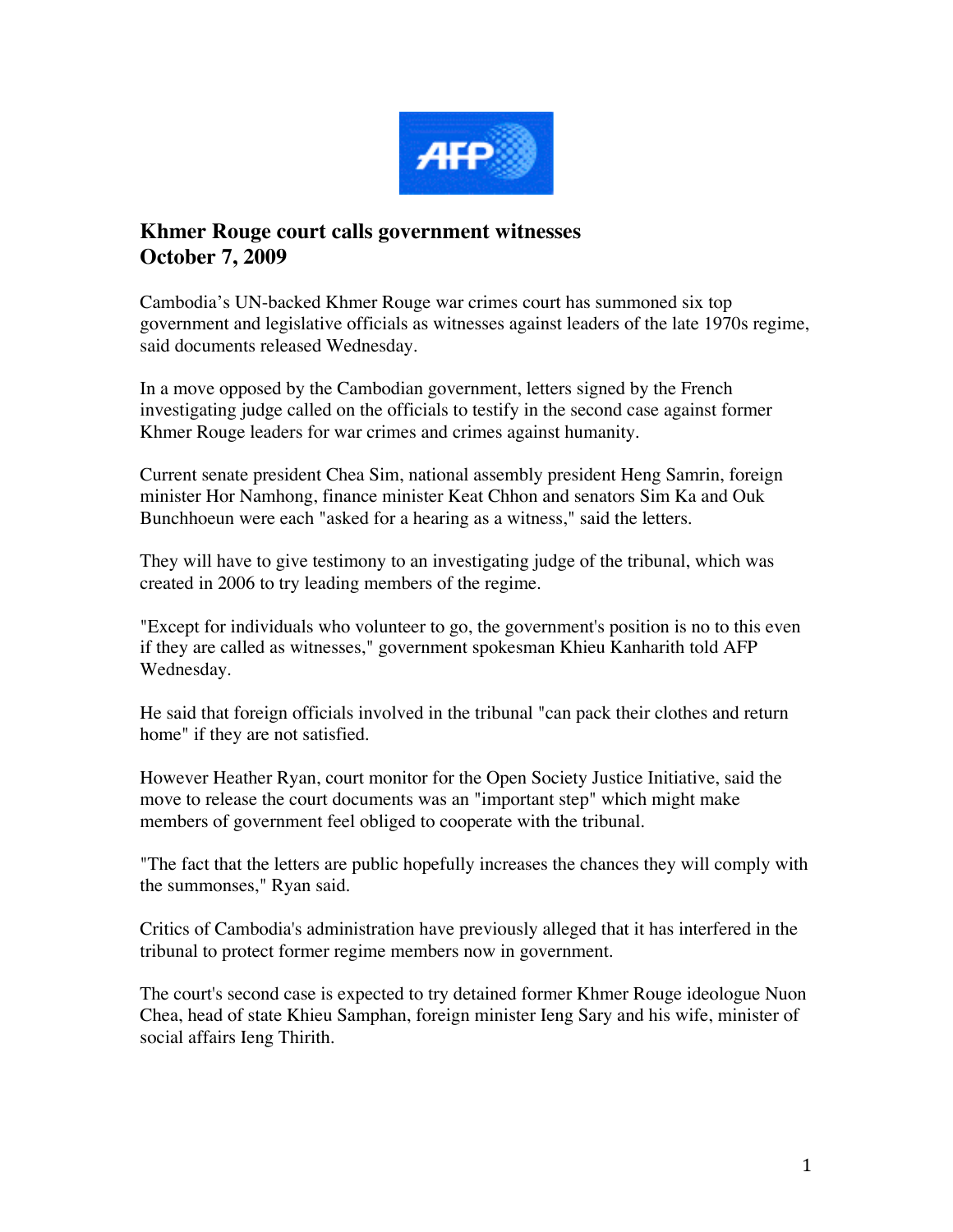

## **Khmer Rouge court calls government witnesses October 7, 2009**

Cambodia's UN-backed Khmer Rouge war crimes court has summoned six top government and legislative officials as witnesses against leaders of the late 1970s regime, said documents released Wednesday.

In a move opposed by the Cambodian government, letters signed by the French investigating judge called on the officials to testify in the second case against former Khmer Rouge leaders for war crimes and crimes against humanity.

Current senate president Chea Sim, national assembly president Heng Samrin, foreign minister Hor Namhong, finance minister Keat Chhon and senators Sim Ka and Ouk Bunchhoeun were each "asked for a hearing as a witness," said the letters.

They will have to give testimony to an investigating judge of the tribunal, which was created in 2006 to try leading members of the regime.

"Except for individuals who volunteer to go, the government's position is no to this even if they are called as witnesses," government spokesman Khieu Kanharith told AFP Wednesday.

He said that foreign officials involved in the tribunal "can pack their clothes and return home" if they are not satisfied.

However Heather Ryan, court monitor for the Open Society Justice Initiative, said the move to release the court documents was an "important step" which might make members of government feel obliged to cooperate with the tribunal.

"The fact that the letters are public hopefully increases the chances they will comply with the summonses," Ryan said.

Critics of Cambodia's administration have previously alleged that it has interfered in the tribunal to protect former regime members now in government.

The court's second case is expected to try detained former Khmer Rouge ideologue Nuon Chea, head of state Khieu Samphan, foreign minister Ieng Sary and his wife, minister of social affairs Ieng Thirith.